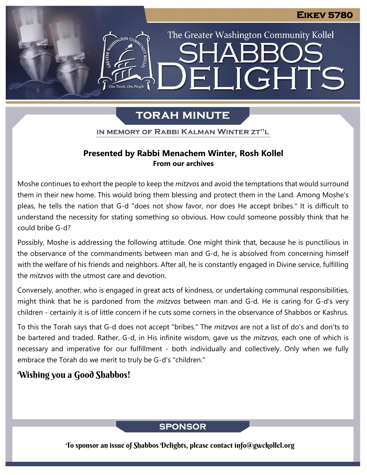The Greater Washington Community Kollel

ELIGHTS

# **TORAH MINUTE**

IN MEMORY OF RABBI KALMAN WINTER ZT"L

## **Presented by Rabbi Menachem Winter, Rosh Kollel From our archives**

Moshe continues to exhort the people to keep the *mitzvos* and avoid the temptations that would surround them in their new home. This would bring them blessing and protect them in the Land. Among Moshe's pleas, he tells the nation that G-d "does not show favor, nor does He accept bribes." It is difficult to understand the necessity for stating something so obvious. How could someone possibly think that he could bribe G-d?

Possibly, Moshe is addressing the following attitude. One might think that, because he is punctilious in the observance of the commandments between man and G-d, he is absolved from concerning himself with the welfare of his friends and neighbors. After all, he is constantly engaged in Divine service, fulfilling the *mitzvos* with the utmost care and devotion.

Conversely, another, who is engaged in great acts of kindness, or undertaking communal responsibilities, might think that he is pardoned from the *mitzvos* between man and G-d. He is caring for G-d's very children - certainly it is of little concern if he cuts some corners in the observance of Shabbos or Kashrus.

To this the Torah says that G-d does not accept "bribes." The *mitzvos* are not a list of do's and don'ts to be bartered and traded. Rather, G-d, in His infinite wisdom, gave us the *mitzvos*, each one of which is necessary and imperative for our fulfillment - both individually and collectively. Only when we fully embrace the Torah do we merit to truly be G-d's "children."

# Wishing you a Good Shabbos!

test

## **SPONSOR**

To sponsor an issue of Shabbos Delights, please contact info@gwckollel.org